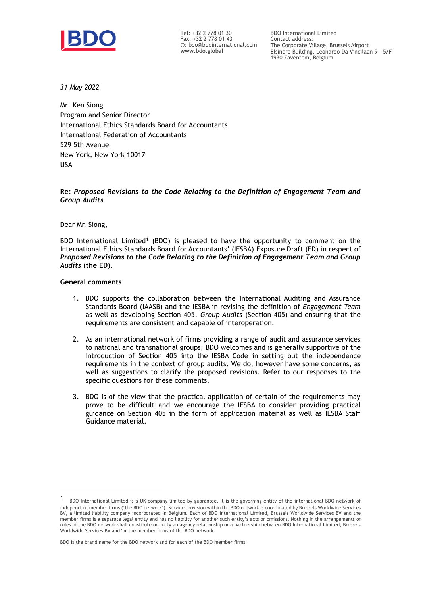

Tel: +32 2 778 01 30 Fax: +32 2 778 01 43 @: bdo@bdointernational.com **www.bdo.global**

BDO International Limited Contact address: The Corporate Village, Brussels Airport Elsinore Building, Leonardo Da Vincilaan 9 – 5/F 1930 Zaventem, Belgium

*31 May 2022*

Mr. Ken Siong Program and Senior Director International Ethics Standards Board for Accountants International Federation of Accountants 529 5th Avenue New York, New York 10017 USA

### **Re:** *Proposed Revisions to the Code Relating to the Definition of Engagement Team and Group Audits*

Dear Mr. Siong,

BDO International Limited<sup>1</sup> (BDO) is pleased to have the opportunity to comment on the International Ethics Standards Board for Accountants' (IESBA) Exposure Draft (ED) in respect of *Proposed Revisions to the Code Relating to the Definition of Engagement Team and Group Audits* **(the ED).** 

### **General comments**

- 1. BDO supports the collaboration between the International Auditing and Assurance Standards Board (IAASB) and the IESBA in revising the definition of *Engagement Team* as well as developing Section 405, *Group Audits* (Section 405) and ensuring that the requirements are consistent and capable of interoperation.
- 2. As an international network of firms providing a range of audit and assurance services to national and transnational groups, BDO welcomes and is generally supportive of the introduction of Section 405 into the IESBA Code in setting out the independence requirements in the context of group audits. We do, however have some concerns, as well as suggestions to clarify the proposed revisions. Refer to our responses to the specific questions for these comments.
- 3. BDO is of the view that the practical application of certain of the requirements may prove to be difficult and we encourage the IESBA to consider providing practical guidance on Section 405 in the form of application material as well as IESBA Staff Guidance material.

<sup>1</sup> BDO International Limited is a UK company limited by guarantee. It is the governing entity of the international BDO network of independent member firms ('the BDO network'). Service provision within the BDO network is coordinated by Brussels Worldwide Services BV, a limited liability company incorporated in Belgium. Each of BDO International Limited, Brussels Worldwide Services BV and the member firms is a separate legal entity and has no liability for another such entity's acts or omissions. Nothing in the arrangements or rules of the BDO network shall constitute or imply an agency relationship or a partnership between BDO International Limited, Brussels Worldwide Services BV and/or the member firms of the BDO network.

BDO is the brand name for the BDO network and for each of the BDO member firms.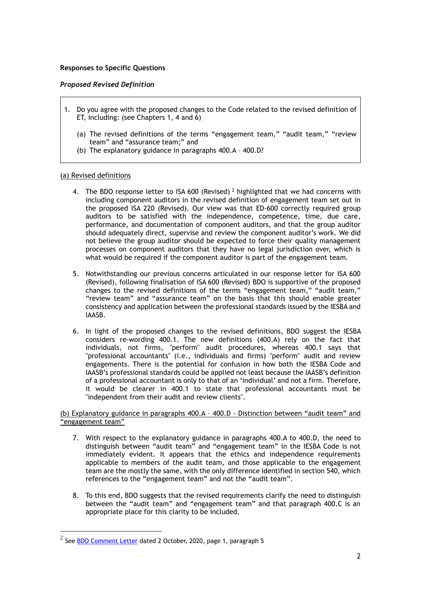# **Responses to Specific Questions**

### *Proposed Revised Definition*

- 1. Do you agree with the proposed changes to the Code related to the revised definition of ET, including: (see Chapters 1, 4 and 6)
	- (a) The revised definitions of the terms "engagement team," "audit team," "review team" and "assurance team;" and
	- (b) The explanatory guidance in paragraphs 400.A 400.D?

# (a) Revised definitions

- 4. The BDO response letter to ISA 600 (Revised)<sup>2</sup> highlighted that we had concerns with including component auditors in the revised definition of engagement team set out in the proposed ISA 220 (Revised). Our view was that ED-600 correctly required group auditors to be satisfied with the independence, competence, time, due care, performance, and documentation of component auditors, and that the group auditor should adequately direct, supervise and review the component auditor's work. We did not believe the group auditor should be expected to force their quality management processes on component auditors that they have no legal jurisdiction over, which is what would be required if the component auditor is part of the engagement team.
- 5. Notwithstanding our previous concerns articulated in our response letter for ISA 600 (Revised), following finalisation of ISA 600 (Revised) BDO is supportive of the proposed changes to the revised definitions of the terms "engagement team," "audit team," "review team" and "assurance team" on the basis that this should enable greater consistency and application between the professional standards issued by the IESBA and IAASB.
- 6. In light of the proposed changes to the revised definitions, BDO suggest the IESBA considers re-wording 400.1. The new definitions (400.A) rely on the fact that individuals, not firms, "perform" audit procedures, whereas 400.1 says that "professional accountants" (i.e., individuals and firms) "perform" audit and review engagements. There is the potential for confusion in how both the IESBA Code and IAASB's professional standards could be applied not least because the IAASB's definition of a professional accountant is only to that of an 'individual' and not a firm. Therefore, it would be clearer in 400.1 to state that professional accountants must be "independent from their audit and review clients".

(b) Explanatory guidance in paragraphs 400.A – 400.D - Distinction between "audit team" and "engagement team"

- 7. With respect to the explanatory guidance in paragraphs 400.A to 400.D, the need to distinguish between "audit team" and "engagement team" in the IESBA Code is not immediately evident. It appears that the ethics and independence requirements applicable to members of the audit team, and those applicable to the engagement team are the mostly the same, with the only difference identified in section 540, which references to the "engagement team" and not the "audit team".
- 8. To this end, BDO suggests that the revised requirements clarify the need to distinguish between the "audit team" and "engagement team" and that paragraph 400.C is an appropriate place for this clarity to be included.

 $^2$  See [BDO Comment Letter](https://global-www.bdo.global/getattachment/Services/Audit-Assurance/Proposed-standards/BDO-Comment_ISA-600-(Revised).pdf.aspx?lang=en-GB) dated 2 October, 2020, page 1, paragraph 5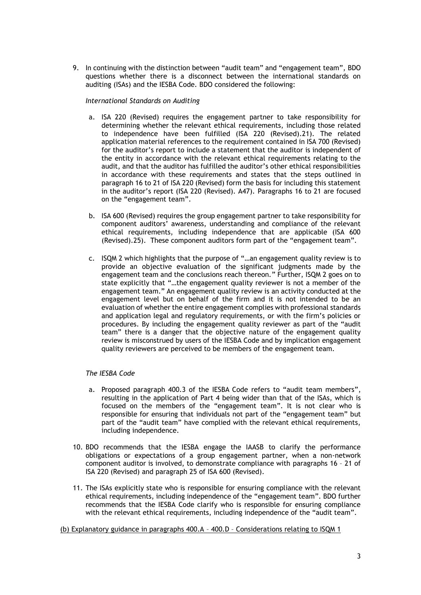9. In continuing with the distinction between "audit team" and "engagement team", BDO questions whether there is a disconnect between the international standards on auditing (ISAs) and the IESBA Code. BDO considered the following:

### *International Standards on Auditing*

- a. ISA 220 (Revised) requires the engagement partner to take responsibility for determining whether the relevant ethical requirements, including those related to independence have been fulfilled (ISA 220 (Revised).21). The related application material references to the requirement contained in ISA 700 (Revised) for the auditor's report to include a statement that the auditor is independent of the entity in accordance with the relevant ethical requirements relating to the audit, and that the auditor has fulfilled the auditor's other ethical responsibilities in accordance with these requirements and states that the steps outlined in paragraph 16 to 21 of ISA 220 (Revised) form the basis for including this statement in the auditor's report (ISA 220 (Revised). A47). Paragraphs 16 to 21 are focused on the "engagement team".
- b. ISA 600 (Revised) requires the group engagement partner to take responsibility for component auditors' awareness, understanding and compliance of the relevant ethical requirements, including independence that are applicable (ISA 600 (Revised).25). These component auditors form part of the "engagement team".
- c. ISQM 2 which highlights that the purpose of "…an engagement quality review is to provide an objective evaluation of the significant judgments made by the engagement team and the conclusions reach thereon." Further, ISQM 2 goes on to state explicitly that "…the engagement quality reviewer is not a member of the engagement team." An engagement quality review is an activity conducted at the engagement level but on behalf of the firm and it is not intended to be an evaluation of whether the entire engagement complies with professional standards and application legal and regulatory requirements, or with the firm's policies or procedures. By including the engagement quality reviewer as part of the "audit team" there is a danger that the objective nature of the engagement quality review is misconstrued by users of the IESBA Code and by implication engagement quality reviewers are perceived to be members of the engagement team.

# *The IESBA Code*

- a. Proposed paragraph 400.3 of the IESBA Code refers to "audit team members", resulting in the application of Part 4 being wider than that of the ISAs, which is focused on the members of the "engagement team". It is not clear who is responsible for ensuring that individuals not part of the "engagement team" but part of the "audit team" have complied with the relevant ethical requirements, including independence.
- 10. BDO recommends that the IESBA engage the IAASB to clarify the performance obligations or expectations of a group engagement partner, when a non-network component auditor is involved, to demonstrate compliance with paragraphs 16 – 21 of ISA 220 (Revised) and paragraph 25 of ISA 600 (Revised).
- 11. The ISAs explicitly state who is responsible for ensuring compliance with the relevant ethical requirements, including independence of the "engagement team". BDO further recommends that the IESBA Code clarify who is responsible for ensuring compliance with the relevant ethical requirements, including independence of the "audit team".

# (b) Explanatory guidance in paragraphs 400.A – 400.D – Considerations relating to ISQM 1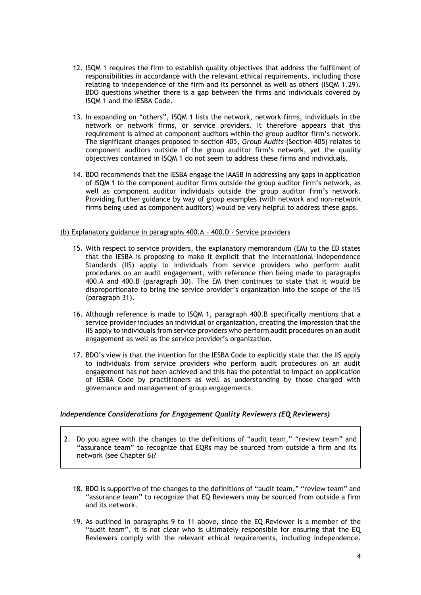- 12. ISQM 1 requires the firm to establish quality objectives that address the fulfilment of responsibilities in accordance with the relevant ethical requirements, including those relating to independence of the firm and its personnel as well as others (ISQM 1.29). BDO questions whether there is a gap between the firms and individuals covered by ISQM 1 and the IESBA Code.
- 13. In expanding on "others", ISQM 1 lists the network, network firms, individuals in the network or network firms, or service providers. It therefore appears that this requirement is aimed at component auditors within the group auditor firm's network. The significant changes proposed in section 405, *Group Audits* (Section 405) relates to component auditors outside of the group auditor firm's network, yet the quality objectives contained in ISQM 1 do not seem to address these firms and individuals.
- 14. BDO recommends that the IESBA engage the IAASB in addressing any gaps in application of ISQM 1 to the component auditor firms outside the group auditor firm's network, as well as component auditor individuals outside the group auditor firm's network. Providing further guidance by way of group examples (with network and non-network firms being used as component auditors) would be very helpful to address these gaps.

### (b) Explanatory guidance in paragraphs 400.A – 400.D - Service providers

- 15. With respect to service providers, the explanatory memorandum (EM) to the ED states that the IESBA is proposing to make it explicit that the International Independence Standards (IIS) apply to individuals from service providers who perform audit procedures on an audit engagement, with reference then being made to paragraphs 400.A and 400.B (paragraph 30). The EM then continues to state that it would be disproportionate to bring the service provider's organization into the scope of the IIS (paragraph 31).
- 16. Although reference is made to ISQM 1, paragraph 400.B specifically mentions that a service provider includes an individual or organization, creating the impression that the IIS apply to individuals from service providers who perform audit procedures on an audit engagement as well as the service provider's organization.
- 17. BDO's view is that the intention for the IESBA Code to explicitly state that the IIS apply to individuals from service providers who perform audit procedures on an audit engagement has not been achieved and this has the potential to impact on application of IESBA Code by practitioners as well as understanding by those charged with governance and management of group engagements.

# *Independence Considerations for Engagement Quality Reviewers (EQ Reviewers)*

- 2. Do you agree with the changes to the definitions of "audit team," "review team" and "assurance team" to recognize that EQRs may be sourced from outside a firm and its network (see Chapter 6)?
	- 18. BDO is supportive of the changes to the definitions of "audit team," "review team" and "assurance team" to recognize that EQ Reviewers may be sourced from outside a firm and its network.
	- 19. As outlined in paragraphs 9 to 11 above, since the EQ Reviewer is a member of the "audit team", it is not clear who is ultimately responsible for ensuring that the EQ Reviewers comply with the relevant ethical requirements, including independence.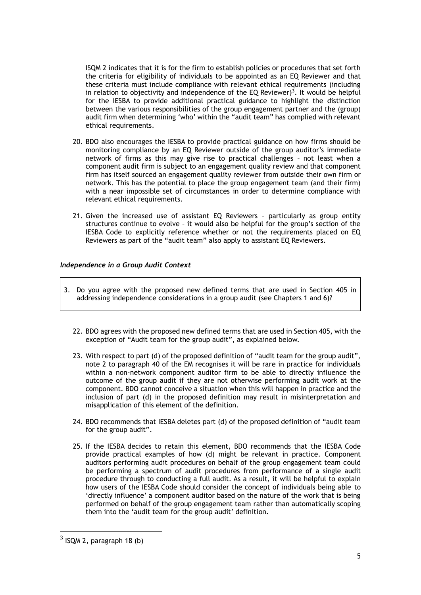ISQM 2 indicates that it is for the firm to establish policies or procedures that set forth the criteria for eligibility of individuals to be appointed as an EQ Reviewer and that these criteria must include compliance with relevant ethical requirements (including in relation to objectivity and independence of the EQ Reviewer)<sup>3</sup>. It would be helpful for the IESBA to provide additional practical guidance to highlight the distinction between the various responsibilities of the group engagement partner and the (group) audit firm when determining 'who' within the "audit team" has complied with relevant ethical requirements.

- 20. BDO also encourages the IESBA to provide practical guidance on how firms should be monitoring compliance by an EQ Reviewer outside of the group auditor's immediate network of firms as this may give rise to practical challenges – not least when a component audit firm is subject to an engagement quality review and that component firm has itself sourced an engagement quality reviewer from outside their own firm or network. This has the potential to place the group engagement team (and their firm) with a near impossible set of circumstances in order to determine compliance with relevant ethical requirements.
- 21. Given the increased use of assistant EQ Reviewers particularly as group entity structures continue to evolve – it would also be helpful for the group's section of the IESBA Code to explicitly reference whether or not the requirements placed on EQ Reviewers as part of the "audit team" also apply to assistant EQ Reviewers.

# *Independence in a Group Audit Context*

- 3. Do you agree with the proposed new defined terms that are used in Section 405 in addressing independence considerations in a group audit (see Chapters 1 and 6)?
	- 22. BDO agrees with the proposed new defined terms that are used in Section 405, with the exception of "Audit team for the group audit", as explained below.
	- 23. With respect to part (d) of the proposed definition of "audit team for the group audit", note 2 to paragraph 40 of the EM recognises it will be rare in practice for individuals within a non-network component auditor firm to be able to directly influence the outcome of the group audit if they are not otherwise performing audit work at the component. BDO cannot conceive a situation when this will happen in practice and the inclusion of part (d) in the proposed definition may result in misinterpretation and misapplication of this element of the definition.
	- 24. BDO recommends that IESBA deletes part (d) of the proposed definition of "audit team for the group audit".
	- 25. If the IESBA decides to retain this element, BDO recommends that the IESBA Code provide practical examples of how (d) might be relevant in practice. Component auditors performing audit procedures on behalf of the group engagement team could be performing a spectrum of audit procedures from performance of a single audit procedure through to conducting a full audit. As a result, it will be helpful to explain how users of the IESBA Code should consider the concept of individuals being able to 'directly influence' a component auditor based on the nature of the work that is being performed on behalf of the group engagement team rather than automatically scoping them into the 'audit team for the group audit' definition.

 $3$  ISQM 2, paragraph 18 (b)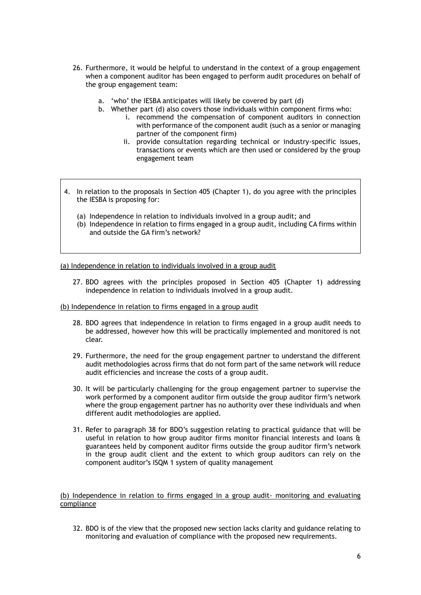- 26. Furthermore, it would be helpful to understand in the context of a group engagement when a component auditor has been engaged to perform audit procedures on behalf of the group engagement team:
	- a. 'who' the IESBA anticipates will likely be covered by part (d)
	- b. Whether part (d) also covers those individuals within component firms who:
		- i. recommend the compensation of component auditors in connection with performance of the component audit (such as a senior or managing partner of the component firm)
		- ii. provide consultation regarding technical or industry-specific issues, transactions or events which are then used or considered by the group engagement team
- 4. In relation to the proposals in Section 405 (Chapter 1), do you agree with the principles the IESBA is proposing for:
	- (a) Independence in relation to individuals involved in a group audit; and
	- (b) Independence in relation to firms engaged in a group audit, including CA firms within and outside the GA firm's network?

(a) Independence in relation to individuals involved in a group audit

- 27. BDO agrees with the principles proposed in Section 405 (Chapter 1) addressing independence in relation to individuals involved in a group audit.
- (b) Independence in relation to firms engaged in a group audit
	- 28. BDO agrees that independence in relation to firms engaged in a group audit needs to be addressed, however how this will be practically implemented and monitored is not clear.
	- 29. Furthermore, the need for the group engagement partner to understand the different audit methodologies across firms that do not form part of the same network will reduce audit efficiencies and increase the costs of a group audit.
	- 30. It will be particularly challenging for the group engagement partner to supervise the work performed by a component auditor firm outside the group auditor firm's network where the group engagement partner has no authority over these individuals and when different audit methodologies are applied.
	- 31. Refer to paragraph 38 for BDO's suggestion relating to practical guidance that will be useful in relation to how group auditor firms monitor financial interests and loans & guarantees held by component auditor firms outside the group auditor firm's network in the group audit client and the extent to which group auditors can rely on the component auditor's ISQM 1 system of quality management

### (b) Independence in relation to firms engaged in a group audit- monitoring and evaluating compliance

32. BDO is of the view that the proposed new section lacks clarity and guidance relating to monitoring and evaluation of compliance with the proposed new requirements.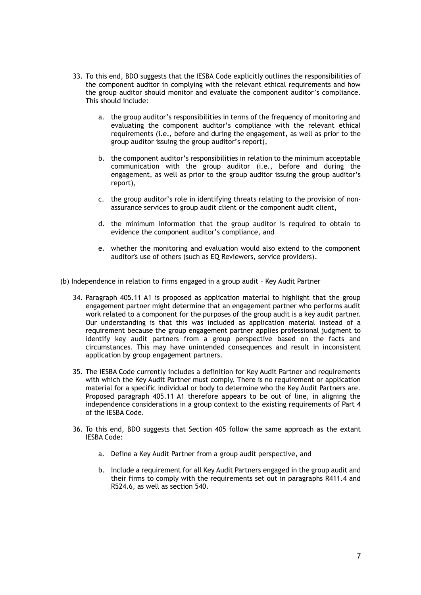- 33. To this end, BDO suggests that the IESBA Code explicitly outlines the responsibilities of the component auditor in complying with the relevant ethical requirements and how the group auditor should monitor and evaluate the component auditor's compliance. This should include:
	- a. the group auditor's responsibilities in terms of the frequency of monitoring and evaluating the component auditor's compliance with the relevant ethical requirements (i.e., before and during the engagement, as well as prior to the group auditor issuing the group auditor's report),
	- b. the component auditor's responsibilities in relation to the minimum acceptable communication with the group auditor (i.e., before and during the engagement, as well as prior to the group auditor issuing the group auditor's report),
	- c. the group auditor's role in identifying threats relating to the provision of nonassurance services to group audit client or the component audit client,
	- d. the minimum information that the group auditor is required to obtain to evidence the component auditor's compliance, and
	- e. whether the monitoring and evaluation would also extend to the component auditor's use of others (such as EQ Reviewers, service providers).

### (b) Independence in relation to firms engaged in a group audit – Key Audit Partner

- 34. Paragraph 405.11 A1 is proposed as application material to highlight that the group engagement partner might determine that an engagement partner who performs audit work related to a component for the purposes of the group audit is a key audit partner. Our understanding is that this was included as application material instead of a requirement because the group engagement partner applies professional judgment to identify key audit partners from a group perspective based on the facts and circumstances. This may have unintended consequences and result in inconsistent application by group engagement partners.
- 35. The IESBA Code currently includes a definition for Key Audit Partner and requirements with which the Key Audit Partner must comply. There is no requirement or application material for a specific individual or body to determine who the Key Audit Partners are. Proposed paragraph 405.11 A1 therefore appears to be out of line, in aligning the independence considerations in a group context to the existing requirements of Part 4 of the IESBA Code.
- 36. To this end, BDO suggests that Section 405 follow the same approach as the extant IESBA Code:
	- a. Define a Key Audit Partner from a group audit perspective, and
	- b. Include a requirement for all Key Audit Partners engaged in the group audit and their firms to comply with the requirements set out in paragraphs R411.4 and R524.6, as well as section 540.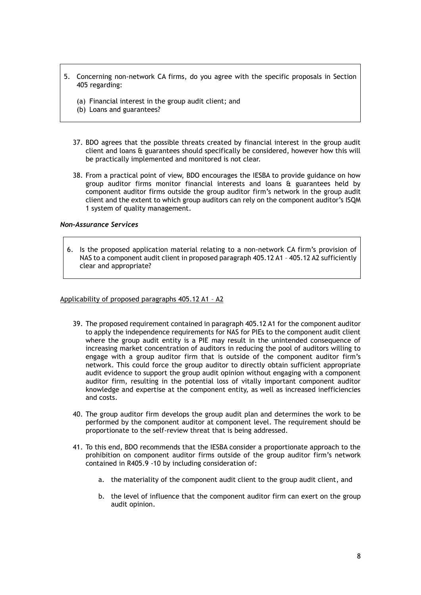- 5. Concerning non-network CA firms, do you agree with the specific proposals in Section 405 regarding:
	- (a) Financial interest in the group audit client; and
	- (b) Loans and guarantees?
	- 37. BDO agrees that the possible threats created by financial interest in the group audit client and loans & guarantees should specifically be considered, however how this will be practically implemented and monitored is not clear.
	- 38. From a practical point of view, BDO encourages the IESBA to provide guidance on how group auditor firms monitor financial interests and loans & guarantees held by component auditor firms outside the group auditor firm's network in the group audit client and the extent to which group auditors can rely on the component auditor's ISQM 1 system of quality management.

### *Non-Assurance Services*

6. Is the proposed application material relating to a non-network CA firm's provision of NAS to a component audit client in proposed paragraph 405.12 A1 – 405.12 A2 sufficiently clear and appropriate?

### Applicability of proposed paragraphs 405.12 A1 – A2

- 39. The proposed requirement contained in paragraph 405.12 A1 for the component auditor to apply the independence requirements for NAS for PIEs to the component audit client where the group audit entity is a PIE may result in the unintended consequence of increasing market concentration of auditors in reducing the pool of auditors willing to engage with a group auditor firm that is outside of the component auditor firm's network. This could force the group auditor to directly obtain sufficient appropriate audit evidence to support the group audit opinion without engaging with a component auditor firm, resulting in the potential loss of vitally important component auditor knowledge and expertise at the component entity, as well as increased inefficiencies and costs.
- 40. The group auditor firm develops the group audit plan and determines the work to be performed by the component auditor at component level. The requirement should be proportionate to the self-review threat that is being addressed.
- 41. To this end, BDO recommends that the IESBA consider a proportionate approach to the prohibition on component auditor firms outside of the group auditor firm's network contained in R405.9 -10 by including consideration of:
	- a. the materiality of the component audit client to the group audit client, and
	- b. the level of influence that the component auditor firm can exert on the group audit opinion.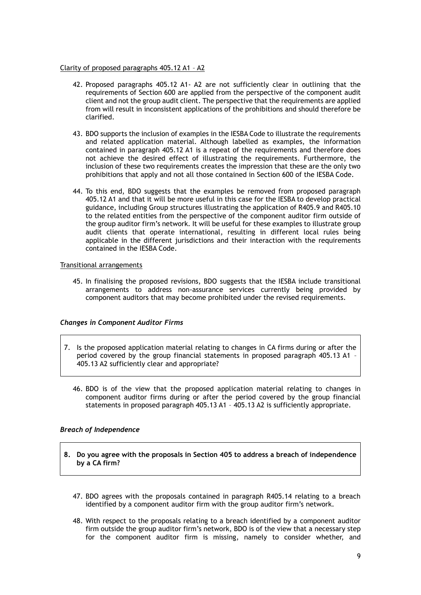### Clarity of proposed paragraphs 405.12 A1 – A2

- 42. Proposed paragraphs 405.12 A1- A2 are not sufficiently clear in outlining that the requirements of Section 600 are applied from the perspective of the component audit client and not the group audit client. The perspective that the requirements are applied from will result in inconsistent applications of the prohibitions and should therefore be clarified.
- 43. BDO supports the inclusion of examples in the IESBA Code to illustrate the requirements and related application material. Although labelled as examples, the information contained in paragraph 405.12 A1 is a repeat of the requirements and therefore does not achieve the desired effect of illustrating the requirements. Furthermore, the inclusion of these two requirements creates the impression that these are the only two prohibitions that apply and not all those contained in Section 600 of the IESBA Code.
- 44. To this end, BDO suggests that the examples be removed from proposed paragraph 405.12 A1 and that it will be more useful in this case for the IESBA to develop practical guidance, including Group structures illustrating the application of R405.9 and R405.10 to the related entities from the perspective of the component auditor firm outside of the group auditor firm's network. It will be useful for these examples to illustrate group audit clients that operate international, resulting in different local rules being applicable in the different jurisdictions and their interaction with the requirements contained in the IESBA Code.

# Transitional arrangements

45. In finalising the proposed revisions, BDO suggests that the IESBA include transitional arrangements to address non-assurance services currently being provided by component auditors that may become prohibited under the revised requirements.

# *Changes in Component Auditor Firms*

- 7. Is the proposed application material relating to changes in CA firms during or after the period covered by the group financial statements in proposed paragraph 405.13 A1 – 405.13 A2 sufficiently clear and appropriate?
	- 46. BDO is of the view that the proposed application material relating to changes in component auditor firms during or after the period covered by the group financial statements in proposed paragraph 405.13 A1 – 405.13 A2 is sufficiently appropriate.

# *Breach of Independence*

- **8. Do you agree with the proposals in Section 405 to address a breach of independence by a CA firm?**
	- 47. BDO agrees with the proposals contained in paragraph R405.14 relating to a breach identified by a component auditor firm with the group auditor firm's network.
	- 48. With respect to the proposals relating to a breach identified by a component auditor firm outside the group auditor firm's network, BDO is of the view that a necessary step for the component auditor firm is missing, namely to consider whether, and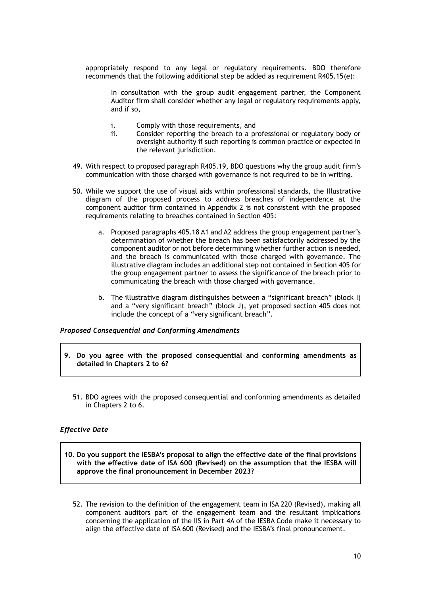appropriately respond to any legal or regulatory requirements. BDO therefore recommends that the following additional step be added as requirement R405.15(e):

In consultation with the group audit engagement partner, the Component Auditor firm shall consider whether any legal or regulatory requirements apply, and if so,

- i. Comply with those requirements, and
- ii. Consider reporting the breach to a professional or regulatory body or oversight authority if such reporting is common practice or expected in the relevant jurisdiction.
- 49. With respect to proposed paragraph R405.19, BDO questions why the group audit firm's communication with those charged with governance is not required to be in writing.
- 50. While we support the use of visual aids within professional standards, the Illustrative diagram of the proposed process to address breaches of independence at the component auditor firm contained in Appendix 2 is not consistent with the proposed requirements relating to breaches contained in Section 405:
	- a. Proposed paragraphs 405.18 A1 and A2 address the group engagement partner's determination of whether the breach has been satisfactorily addressed by the component auditor or not before determining whether further action is needed, and the breach is communicated with those charged with governance. The illustrative diagram includes an additional step not contained in Section 405 for the group engagement partner to assess the significance of the breach prior to communicating the breach with those charged with governance.
	- b. The illustrative diagram distinguishes between a "significant breach" (block I) and a "very significant breach" (block J), yet proposed section 405 does not include the concept of a "very significant breach".

# *Proposed Consequential and Conforming Amendments*

- **9. Do you agree with the proposed consequential and conforming amendments as detailed in Chapters 2 to 6?**
	- 51. BDO agrees with the proposed consequential and conforming amendments as detailed in Chapters 2 to 6.

# *Effective Date*

- **10. Do you support the IESBA's proposal to align the effective date of the final provisions with the effective date of ISA 600 (Revised) on the assumption that the IESBA will approve the final pronouncement in December 2023?**
	- 52. The revision to the definition of the engagement team in ISA 220 (Revised), making all component auditors part of the engagement team and the resultant implications concerning the application of the IIS in Part 4A of the IESBA Code make it necessary to align the effective date of ISA 600 (Revised) and the IESBA's final pronouncement.